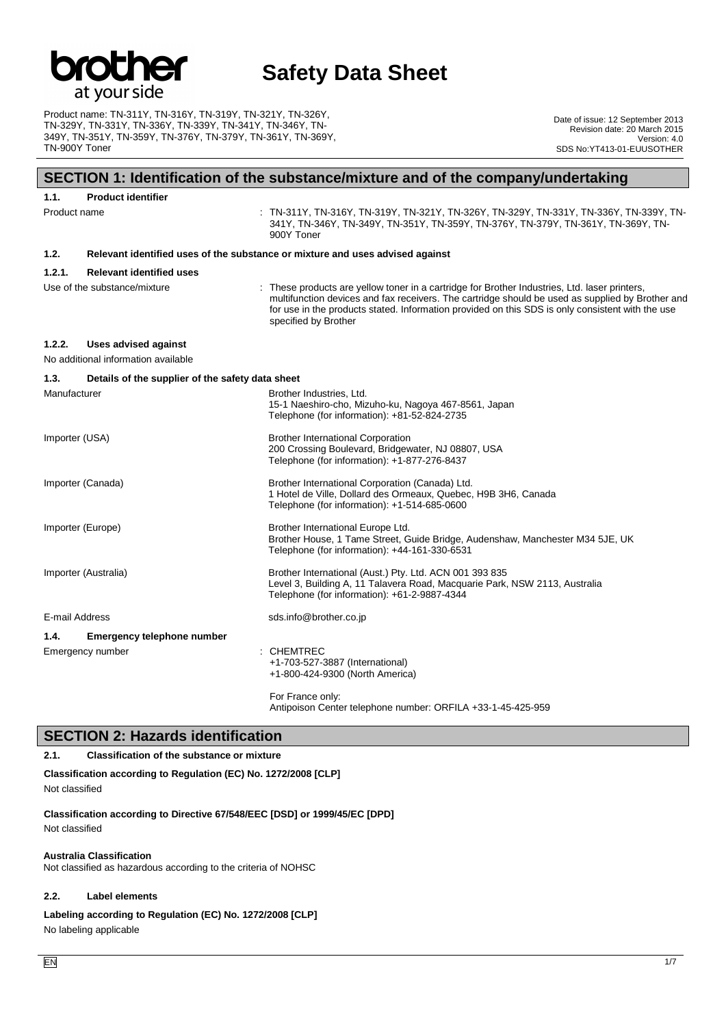

Product name: TN-311Y, TN-316Y, TN-319Y, TN-321Y, TN-326Y, TN-329Y, TN-331Y, TN-336Y, TN-339Y, TN-341Y, TN-346Y, TN-349Y, TN-351Y, TN-359Y, TN-376Y, TN-379Y, TN-361Y, TN-369Y, TN-900Y Toner

Date of issue: 12 September 2013 Revision date: 20 March 2015 Version: 4.0 SDS No:YT413-01-EUUSOTHER

### **SECTION 1: Identification of the substance/mixture and of the company/undertaking**

| 1.1.           | <b>Product identifier</b>                        |                                                                                                                                                                                                                                                                                                                               |
|----------------|--------------------------------------------------|-------------------------------------------------------------------------------------------------------------------------------------------------------------------------------------------------------------------------------------------------------------------------------------------------------------------------------|
| Product name   |                                                  | $:$ TN-311Y, TN-316Y, TN-319Y, TN-321Y, TN-326Y, TN-329Y, TN-331Y, TN-336Y, TN-339Y, TN-<br>341Y, TN-346Y, TN-349Y, TN-351Y, TN-359Y, TN-376Y, TN-379Y, TN-361Y, TN-369Y, TN-<br>900Y Toner                                                                                                                                   |
| 1.2.           |                                                  | Relevant identified uses of the substance or mixture and uses advised against                                                                                                                                                                                                                                                 |
| 1.2.1.         | <b>Relevant identified uses</b>                  |                                                                                                                                                                                                                                                                                                                               |
|                | Use of the substance/mixture                     | : These products are yellow toner in a cartridge for Brother Industries, Ltd. laser printers,<br>multifunction devices and fax receivers. The cartridge should be used as supplied by Brother and<br>for use in the products stated. Information provided on this SDS is only consistent with the use<br>specified by Brother |
| 1.2.2.         | <b>Uses advised against</b>                      |                                                                                                                                                                                                                                                                                                                               |
|                | No additional information available              |                                                                                                                                                                                                                                                                                                                               |
| 1.3.           | Details of the supplier of the safety data sheet |                                                                                                                                                                                                                                                                                                                               |
| Manufacturer   |                                                  | Brother Industries, Ltd.<br>15-1 Naeshiro-cho, Mizuho-ku, Nagoya 467-8561, Japan<br>Telephone (for information): +81-52-824-2735                                                                                                                                                                                              |
| Importer (USA) |                                                  | <b>Brother International Corporation</b><br>200 Crossing Boulevard, Bridgewater, NJ 08807, USA<br>Telephone (for information): +1-877-276-8437                                                                                                                                                                                |
|                | Importer (Canada)                                | Brother International Corporation (Canada) Ltd.<br>1 Hotel de Ville, Dollard des Ormeaux, Quebec, H9B 3H6, Canada<br>Telephone (for information): +1-514-685-0600                                                                                                                                                             |
|                | Importer (Europe)                                | Brother International Europe Ltd.<br>Brother House, 1 Tame Street, Guide Bridge, Audenshaw, Manchester M34 5JE, UK<br>Telephone (for information): +44-161-330-6531                                                                                                                                                           |
|                | Importer (Australia)                             | Brother International (Aust.) Pty. Ltd. ACN 001 393 835<br>Level 3, Building A, 11 Talavera Road, Macquarie Park, NSW 2113, Australia<br>Telephone (for information): +61-2-9887-4344                                                                                                                                         |
| E-mail Address |                                                  | sds.info@brother.co.jp                                                                                                                                                                                                                                                                                                        |
| 1.4.           | <b>Emergency telephone number</b>                |                                                                                                                                                                                                                                                                                                                               |
|                | Emergency number                                 | : CHEMTREC<br>+1-703-527-3887 (International)<br>+1-800-424-9300 (North America)                                                                                                                                                                                                                                              |
|                |                                                  | For France only:                                                                                                                                                                                                                                                                                                              |

Antipoison Center telephone number: ORFILA +33-1-45-425-959

## **SECTION 2: Hazards identification**

#### **2.1. Classification of the substance or mixture**

**Classification according to Regulation (EC) No. 1272/2008 [CLP]** Not classified

**Classification according to Directive 67/548/EEC [DSD] or 1999/45/EC [DPD]** Not classified

#### **Australia Classification**

Not classified as hazardous according to the criteria of NOHSC

#### **2.2. Label elements**

**Labeling according to Regulation (EC) No. 1272/2008 [CLP]**

No labeling applicable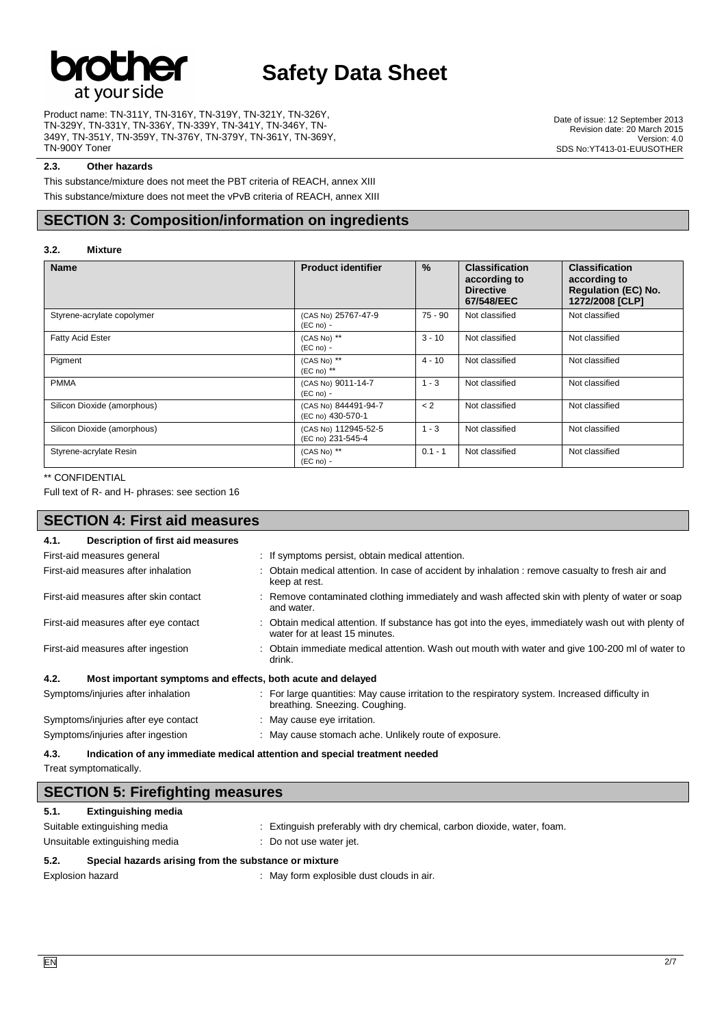

Product name: TN-311Y, TN-316Y, TN-319Y, TN-321Y, TN-326Y, TN-329Y, TN-331Y, TN-336Y, TN-339Y, TN-341Y, TN-346Y, TN-349Y, TN-351Y, TN-359Y, TN-376Y, TN-379Y, TN-361Y, TN-369Y, TN-900Y Toner

Date of issue: 12 September 2013 Revision date: 20 March 2015 Version: 4.0 SDS No:YT413-01-EUUSOTHER

#### **2.3. Other hazards**

This substance/mixture does not meet the PBT criteria of REACH, annex XIII This substance/mixture does not meet the vPvB criteria of REACH, annex XIII

## **SECTION 3: Composition/information on ingredients**

#### **3.2. Mixture**

| <b>Name</b>                 | <b>Product identifier</b>                 | $\%$      | <b>Classification</b><br>according to<br><b>Directive</b><br>67/548/EEC | <b>Classification</b><br>according to<br><b>Regulation (EC) No.</b><br>1272/2008 [CLP] |
|-----------------------------|-------------------------------------------|-----------|-------------------------------------------------------------------------|----------------------------------------------------------------------------------------|
| Styrene-acrylate copolymer  | (CAS No) 25767-47-9<br>$(EC no) -$        | 75 - 90   | Not classified                                                          | Not classified                                                                         |
| <b>Fatty Acid Ester</b>     | (CAS No) **<br>$(EC no) -$                | $3 - 10$  | Not classified                                                          | Not classified                                                                         |
| Pigment                     | (CAS No) **<br>$(EC \n  no)$ **           | $4 - 10$  | Not classified                                                          | Not classified                                                                         |
| <b>PMMA</b>                 | (CAS No) 9011-14-7<br>$(EC no) -$         | $1 - 3$   | Not classified                                                          | Not classified                                                                         |
| Silicon Dioxide (amorphous) | (CAS No) 844491-94-7<br>(EC no) 430-570-1 | < 2       | Not classified                                                          | Not classified                                                                         |
| Silicon Dioxide (amorphous) | (CAS No) 112945-52-5<br>(EC no) 231-545-4 | $1 - 3$   | Not classified                                                          | Not classified                                                                         |
| Styrene-acrylate Resin      | (CAS No) **<br>$(EC no) -$                | $0.1 - 1$ | Not classified                                                          | Not classified                                                                         |

#### \*\* CONFIDENTIAL

Full text of R- and H- phrases: see section 16

## **SECTION 4: First aid measures**

| Description of first aid measures<br>4.1.                           |                                                                                                                                       |
|---------------------------------------------------------------------|---------------------------------------------------------------------------------------------------------------------------------------|
| First-aid measures general                                          | : If symptoms persist, obtain medical attention.                                                                                      |
| First-aid measures after inhalation                                 | : Obtain medical attention. In case of accident by inhalation : remove casualty to fresh air and<br>keep at rest.                     |
| First-aid measures after skin contact                               | : Remove contaminated clothing immediately and wash affected skin with plenty of water or soap<br>and water.                          |
| First-aid measures after eye contact                                | : Obtain medical attention. If substance has got into the eyes, immediately wash out with plenty of<br>water for at least 15 minutes. |
| First-aid measures after ingestion                                  | Obtain immediate medical attention. Wash out mouth with water and give 100-200 ml of water to<br>drink.                               |
| 4.2.<br>Most important symptoms and effects, both acute and delayed |                                                                                                                                       |
| Symptoms/injuries after inhalation                                  | : For large quantities: May cause irritation to the respiratory system. Increased difficulty in<br>breathing. Sneezing. Coughing.     |
| Symptoms/injuries after eye contact                                 | : May cause eye irritation.                                                                                                           |
| Symptoms/injuries after ingestion                                   | : May cause stomach ache. Unlikely route of exposure.                                                                                 |

**4.3. Indication of any immediate medical attention and special treatment needed**

Treat symptomatically.

| <b>SECTION 5: Firefighting measures</b>                       |                                                                         |  |
|---------------------------------------------------------------|-------------------------------------------------------------------------|--|
| <b>Extinguishing media</b><br>5.1.                            |                                                                         |  |
| Suitable extinguishing media                                  | : Extinguish preferably with dry chemical, carbon dioxide, water, foam. |  |
| Unsuitable extinguishing media                                | : Do not use water jet.                                                 |  |
| Special hazards arising from the substance or mixture<br>5.2. |                                                                         |  |

Explosion hazard **in the state of the state of the state of the state of the state of the state of the state of the state of the state of the state of the state of the state of the state of the state of the state of the st**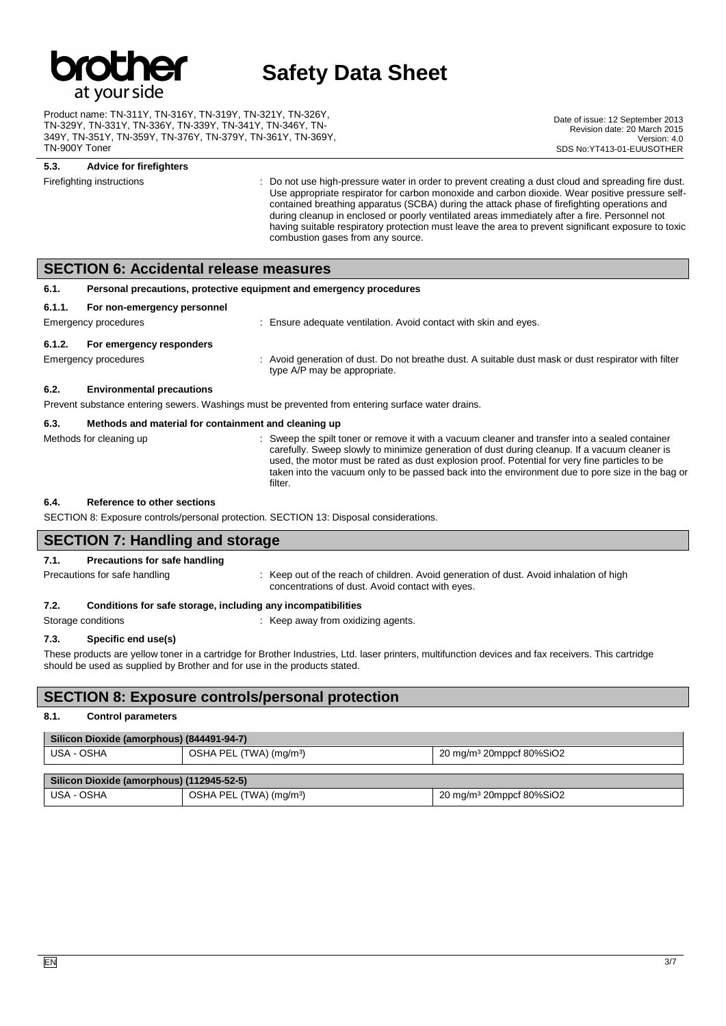

Product name: TN-311Y, TN-316Y, TN-319Y, TN-321Y, TN-326Y, TN-329Y, TN-331Y, TN-336Y, TN-339Y, TN-341Y, TN-346Y, TN-349Y, TN-351Y, TN-359Y, TN-376Y, TN-379Y, TN-361Y, TN-369Y, TN-900Y Toner

Date of issue: 12 September 2013 Revision date: 20 March 2015 Version: 4.0 SDS No: YT413-01-EUUSOTHER

## **5.3. Advice for firefighters**

Firefighting instructions **interpresent of the Constant Constant** Do not use high-pressure water in order to prevent creating a dust cloud and spreading fire dust. Use appropriate respirator for carbon monoxide and carbon dioxide. Wear positive pressure selfcontained breathing apparatus (SCBA) during the attack phase of firefighting operations and during cleanup in enclosed or poorly ventilated areas immediately after a fire. Personnel not having suitable respiratory protection must leave the area to prevent significant exposure to toxic combustion gases from any source.

### **SECTION 6: Accidental release measures**

| 6.1.                 | Personal precautions, protective equipment and emergency procedures                               |                                                                                                                                      |  |
|----------------------|---------------------------------------------------------------------------------------------------|--------------------------------------------------------------------------------------------------------------------------------------|--|
| 6.1.1.               | For non-emergency personnel                                                                       |                                                                                                                                      |  |
|                      | : Ensure adequate ventilation. Avoid contact with skin and eyes.<br>Emergency procedures          |                                                                                                                                      |  |
| 6.1.2.               | For emergency responders                                                                          |                                                                                                                                      |  |
| Emergency procedures |                                                                                                   | : Avoid generation of dust. Do not breathe dust. A suitable dust mask or dust respirator with filter<br>type A/P may be appropriate. |  |
| 6.2.                 | <b>Environmental precautions</b>                                                                  |                                                                                                                                      |  |
|                      | Prevent substance entering sewers. Washings must be prevented from entering surface water drains. |                                                                                                                                      |  |
| 6.3.                 | Methods and material for containment and cleaning up                                              |                                                                                                                                      |  |

#### Methods for cleaning up example of the spilt toner or remove it with a vacuum cleaner and transfer into a sealed container carefully. Sweep slowly to minimize generation of dust during cleanup. If a vacuum cleaner is used, the motor must be rated as dust explosion proof. Potential for very fine particles to be taken into the vacuum only to be passed back into the environment due to pore size in the bag or filter.

#### **6.4. Reference to other sections**

SECTION 8: Exposure controls/personal protection. SECTION 13: Disposal considerations.

### **SECTION 7: Handling and storage**

#### **7.1. Precautions for safe handling**

Precautions for safe handling state is a state of the reach of children. Avoid generation of dust. Avoid inhalation of high concentrations of dust. Avoid contact with eyes.

#### **7.2. Conditions for safe storage, including any incompatibilities**

Storage conditions **Storage conditions** : Keep away from oxidizing agents.

## **7.3. Specific end use(s)**

These products are yellow toner in a cartridge for Brother Industries, Ltd. laser printers, multifunction devices and fax receivers. This cartridge should be used as supplied by Brother and for use in the products stated.

### **SECTION 8: Exposure controls/personal protection**

#### **8.1. Control parameters**

| Silicon Dioxide (amorphous) (844491-94-7) |                                     |                                      |  |
|-------------------------------------------|-------------------------------------|--------------------------------------|--|
| USA - OSHA                                | OSHA PEL (TWA) (mg/m <sup>3</sup> ) | 20 mg/m <sup>3</sup> 20mppcf 80%SiO2 |  |
| Silicon Dioxide (amorphous) (112945-52-5) |                                     |                                      |  |
| USA - OSHA                                | OSHA PEL (TWA) (mg/m <sup>3</sup> ) | 20 mg/m <sup>3</sup> 20mppcf 80%SiO2 |  |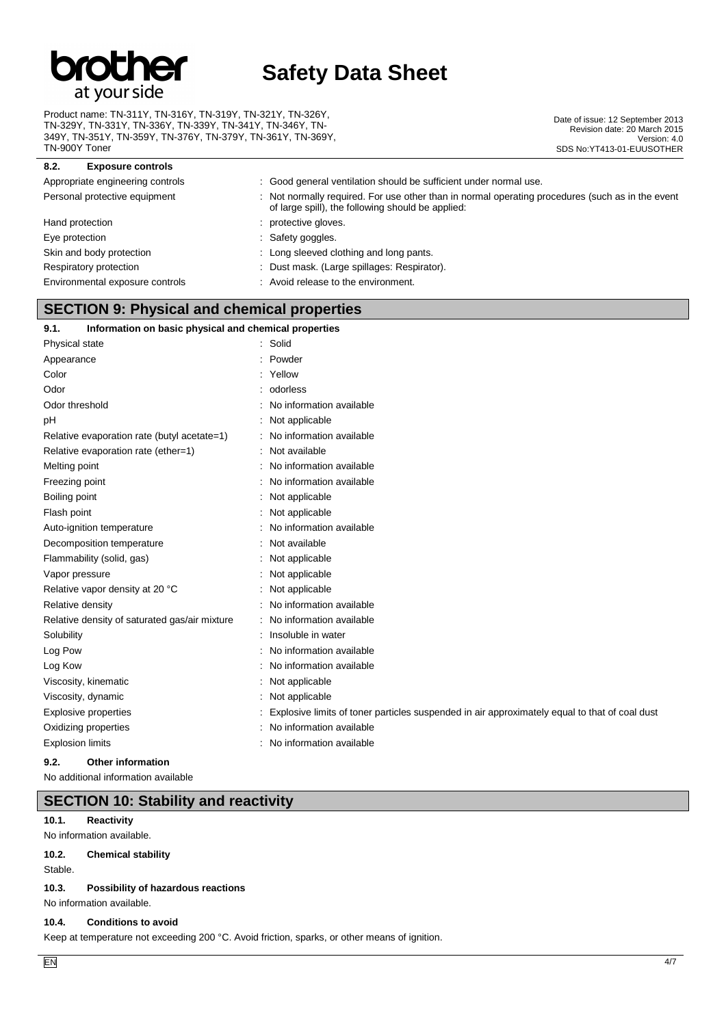

Product name: TN-311Y, TN-316Y, TN-319Y, TN-321Y, TN-326Y, TN-329Y, TN-331Y, TN-336Y, TN-339Y, TN-341Y, TN-346Y, TN-349Y, TN-351Y, TN-359Y, TN-376Y, TN-379Y, TN-361Y, TN-369Y, TN-900Y Toner

Date of issue: 12 September 2013 Revision date: 20 March 2015 Version: 4.0 SDS No:YT413-01-EUUSOTHER

| 8.2.<br><b>Exposure controls</b> |                                                                                                                                                       |
|----------------------------------|-------------------------------------------------------------------------------------------------------------------------------------------------------|
| Appropriate engineering controls | : Good general ventilation should be sufficient under normal use.                                                                                     |
| Personal protective equipment    | : Not normally required. For use other than in normal operating procedures (such as in the event<br>of large spill), the following should be applied: |
| Hand protection                  | : protective gloves.                                                                                                                                  |
| Eye protection                   | : Safety goggles.                                                                                                                                     |
| Skin and body protection         | : Long sleeved clothing and long pants.                                                                                                               |
| Respiratory protection           | : Dust mask. (Large spillages: Respirator).                                                                                                           |
| Environmental exposure controls  | : Avoid release to the environment.                                                                                                                   |

## **SECTION 9: Physical and chemical properties**

## **9.1. Information on basic physical and chemical properties**

| Physical state                                | Solid                                                                                         |
|-----------------------------------------------|-----------------------------------------------------------------------------------------------|
| Appearance                                    | Powder                                                                                        |
| Color                                         | Yellow                                                                                        |
| Odor                                          | odorless                                                                                      |
| Odor threshold                                | No information available                                                                      |
| рH                                            | Not applicable                                                                                |
| Relative evaporation rate (butyl acetate=1)   | No information available                                                                      |
| Relative evaporation rate (ether=1)           | Not available                                                                                 |
| Melting point                                 | No information available                                                                      |
| Freezing point                                | No information available                                                                      |
| Boiling point                                 | Not applicable                                                                                |
| Flash point                                   | Not applicable                                                                                |
| Auto-ignition temperature                     | No information available                                                                      |
| Decomposition temperature                     | Not available                                                                                 |
| Flammability (solid, gas)                     | Not applicable                                                                                |
| Vapor pressure                                | Not applicable                                                                                |
| Relative vapor density at 20 °C               | Not applicable                                                                                |
| Relative density                              | No information available                                                                      |
| Relative density of saturated gas/air mixture | No information available                                                                      |
| Solubility                                    | Insoluble in water                                                                            |
| Log Pow                                       | No information available                                                                      |
| Log Kow                                       | No information available                                                                      |
| Viscosity, kinematic                          | Not applicable                                                                                |
| Viscosity, dynamic                            | Not applicable                                                                                |
| <b>Explosive properties</b>                   | Explosive limits of toner particles suspended in air approximately equal to that of coal dust |
| Oxidizing properties                          | No information available                                                                      |
| <b>Explosion limits</b>                       | No information available                                                                      |
|                                               |                                                                                               |

#### **9.2. Other information**

No additional information available

### **SECTION 10: Stability and reactivity**

#### **10.1. Reactivity**

No information available.

#### **10.2. Chemical stability**

Stable.

#### **10.3. Possibility of hazardous reactions**

No information available.

#### **10.4. Conditions to avoid**

Keep at temperature not exceeding 200 °C. Avoid friction, sparks, or other means of ignition.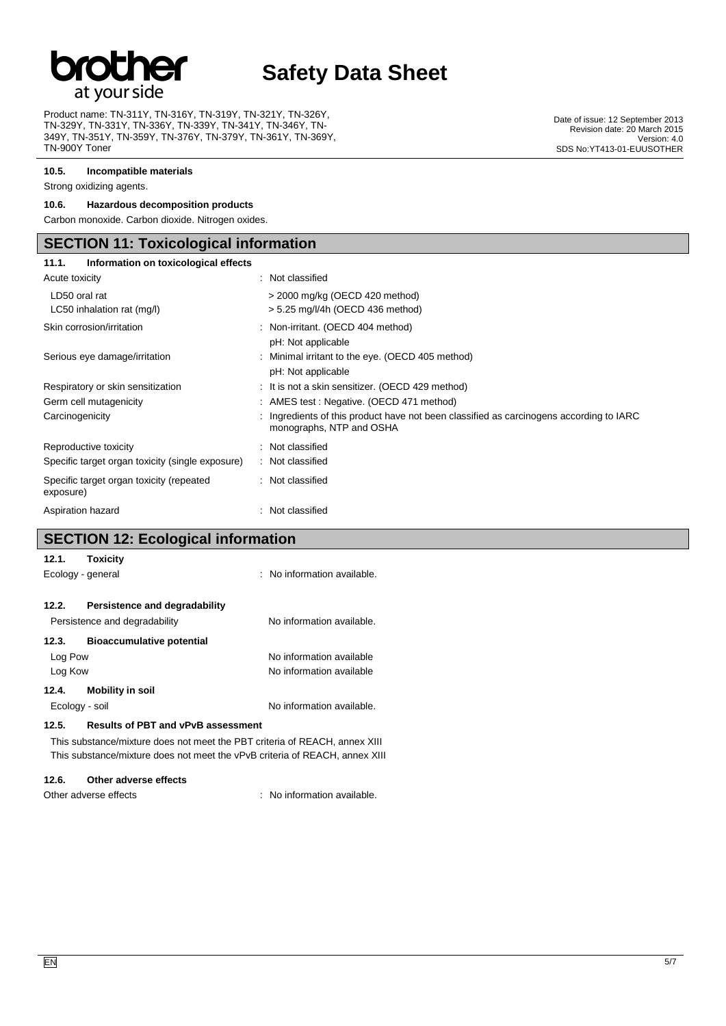

Product name: TN-311Y, TN-316Y, TN-319Y, TN-321Y, TN-326Y, TN-329Y, TN-331Y, TN-336Y, TN-339Y, TN-341Y, TN-346Y, TN-349Y, TN-351Y, TN-359Y, TN-376Y, TN-379Y, TN-361Y, TN-369Y, TN-900Y Toner

**10.5. Incompatible materials**

Strong oxidizing agents.

### **10.6. Hazardous decomposition products**

Carbon monoxide. Carbon dioxide. Nitrogen oxides.

## **SECTION 11: Toxicological information**

| Information on toxicological effects<br>11.1.         |                                                                                                                     |  |  |  |
|-------------------------------------------------------|---------------------------------------------------------------------------------------------------------------------|--|--|--|
| Acute toxicity                                        | : Not classified                                                                                                    |  |  |  |
| LD50 oral rat<br>LC50 inhalation rat (mg/l)           | > 2000 mg/kg (OECD 420 method)<br>$> 5.25$ mg/l/4h (OECD 436 method)                                                |  |  |  |
| Skin corrosion/irritation                             | : Non-irritant. (OECD 404 method)<br>pH: Not applicable                                                             |  |  |  |
| Serious eye damage/irritation                         | : Minimal irritant to the eye. (OECD 405 method)<br>pH: Not applicable                                              |  |  |  |
| Respiratory or skin sensitization                     | : It is not a skin sensitizer. (OECD 429 method)                                                                    |  |  |  |
| Germ cell mutagenicity                                | : AMES test : Negative. (OECD 471 method)                                                                           |  |  |  |
| Carcinogenicity                                       | : Ingredients of this product have not been classified as carcinogens according to IARC<br>monographs, NTP and OSHA |  |  |  |
| Reproductive toxicity                                 | : Not classified                                                                                                    |  |  |  |
| Specific target organ toxicity (single exposure)      | : Not classified                                                                                                    |  |  |  |
| Specific target organ toxicity (repeated<br>exposure) | : Not classified                                                                                                    |  |  |  |
| Aspiration hazard                                     | : Not classified                                                                                                    |  |  |  |

## **SECTION 12: Ecological information**

| 12.1.             | Toxicity                                                                   |                             |
|-------------------|----------------------------------------------------------------------------|-----------------------------|
| Ecology - general |                                                                            | : No information available. |
|                   |                                                                            |                             |
| 12.2.             | Persistence and degradability                                              |                             |
|                   | Persistence and degradability                                              | No information available.   |
| 12.3.             | <b>Bioaccumulative potential</b>                                           |                             |
| Log Pow           |                                                                            | No information available    |
| Log Kow           |                                                                            | No information available    |
| 12.4.             | <b>Mobility in soil</b>                                                    |                             |
| Ecology - soil    |                                                                            | No information available.   |
| 12.5.             | <b>Results of PBT and vPvB assessment</b>                                  |                             |
|                   | This substance/mixture does not meet the PBT criteria of REACH, annex XIII |                             |

This substance/mixture does not meet the vPvB criteria of REACH, annex XIII

#### **12.6. Other adverse effects**

Other adverse effects  $\qquad \qquad$ : No information available.

Date of issue: 12 September 2013 Revision date: 20 March 2015 Version: 4.0 SDS No:YT413-01-EUUSOTHER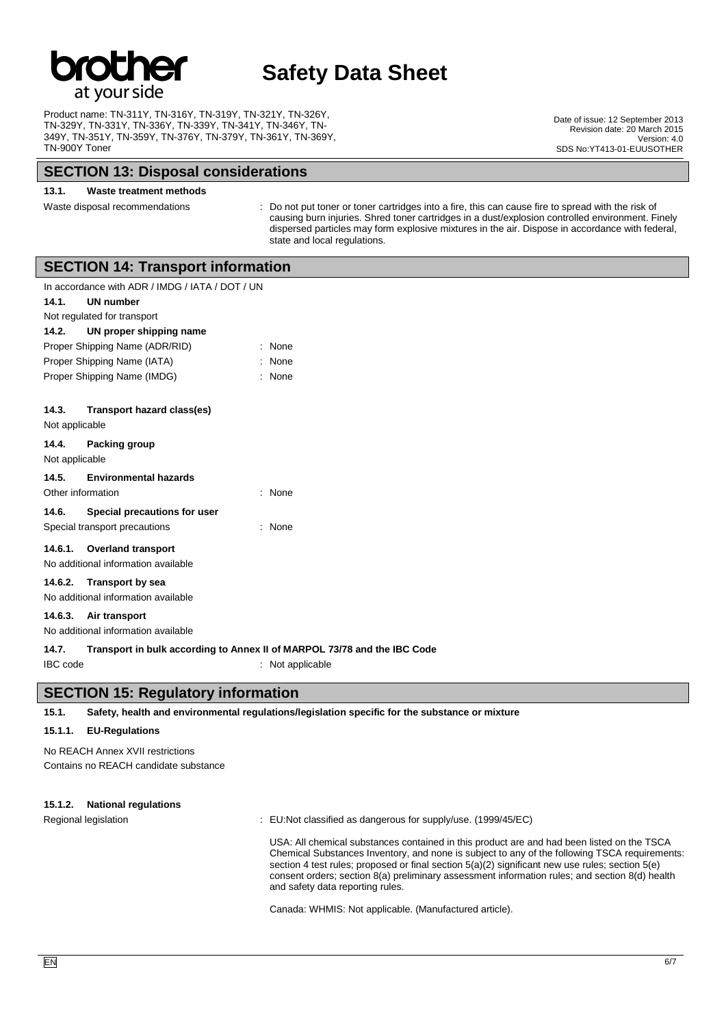

Product name: TN-311Y, TN-316Y, TN-319Y, TN-321Y, TN-326Y, TN-329Y, TN-331Y, TN-336Y, TN-339Y, TN-341Y, TN-346Y, TN-349Y, TN-351Y, TN-359Y, TN-376Y, TN-379Y, TN-361Y, TN-369Y, TN-900Y Toner

### **SECTION 13: Disposal considerations**

#### **13.1. Waste treatment methods**

Waste disposal recommendations : Do not put toner or toner cartridges into a fire, this can cause fire to spread with the risk of causing burn injuries. Shred toner cartridges in a dust/explosion controlled environment. Finely dispersed particles may form explosive mixtures in the air. Dispose in accordance with federal, state and local regulations.

### **SECTION 14: Transport information**

| In accordance with ADR / IMDG / IATA / DOT / UN |                                |   |             |
|-------------------------------------------------|--------------------------------|---|-------------|
| UN number<br>14.1.                              |                                |   |             |
|                                                 | Not regulated for transport    |   |             |
| 14.2.                                           | UN proper shipping name        |   |             |
|                                                 | Proper Shipping Name (ADR/RID) |   | : None      |
|                                                 | Proper Shipping Name (IATA)    |   | None        |
|                                                 | Proper Shipping Name (IMDG)    |   | $:$ None    |
|                                                 |                                |   |             |
| 14.3.                                           | Transport hazard class(es)     |   |             |
| Not applicable                                  |                                |   |             |
| 14.4.                                           | <b>Packing group</b>           |   |             |
| Not applicable                                  |                                |   |             |
|                                                 | 14.5. Environmental hazards    |   |             |
| Other information                               |                                | ٠ | None        |
| 14.6.                                           | Special precautions for user   |   |             |
|                                                 | Special transport precautions  | t | <b>None</b> |
|                                                 | 14.6.1. Overland transport     |   |             |
| No additional information available             |                                |   |             |
| 14.6.2. Transport by sea                        |                                |   |             |
| No additional information available             |                                |   |             |
|                                                 |                                |   |             |

**14.6.3. Air transport** No additional information available

#### **14.7. Transport in bulk according to Annex II of MARPOL 73/78 and the IBC Code**

IBC code : Not applicable

## **SECTION 15: Regulatory information**

**15.1. Safety, health and environmental regulations/legislation specific for the substance or mixture**

#### **15.1.1. EU-Regulations**

No REACH Annex XVII restrictions Contains no REACH candidate substance

#### **15.1.2. National regulations**

Regional legislation : EU:Not classified as dangerous for supply/use. (1999/45/EC)

USA: All chemical substances contained in this product are and had been listed on the TSCA Chemical Substances Inventory, and none is subject to any of the following TSCA requirements: section 4 test rules; proposed or final section 5(a)(2) significant new use rules; section 5(e) consent orders; section 8(a) preliminary assessment information rules; and section 8(d) health and safety data reporting rules.

Canada: WHMIS: Not applicable. (Manufactured article).